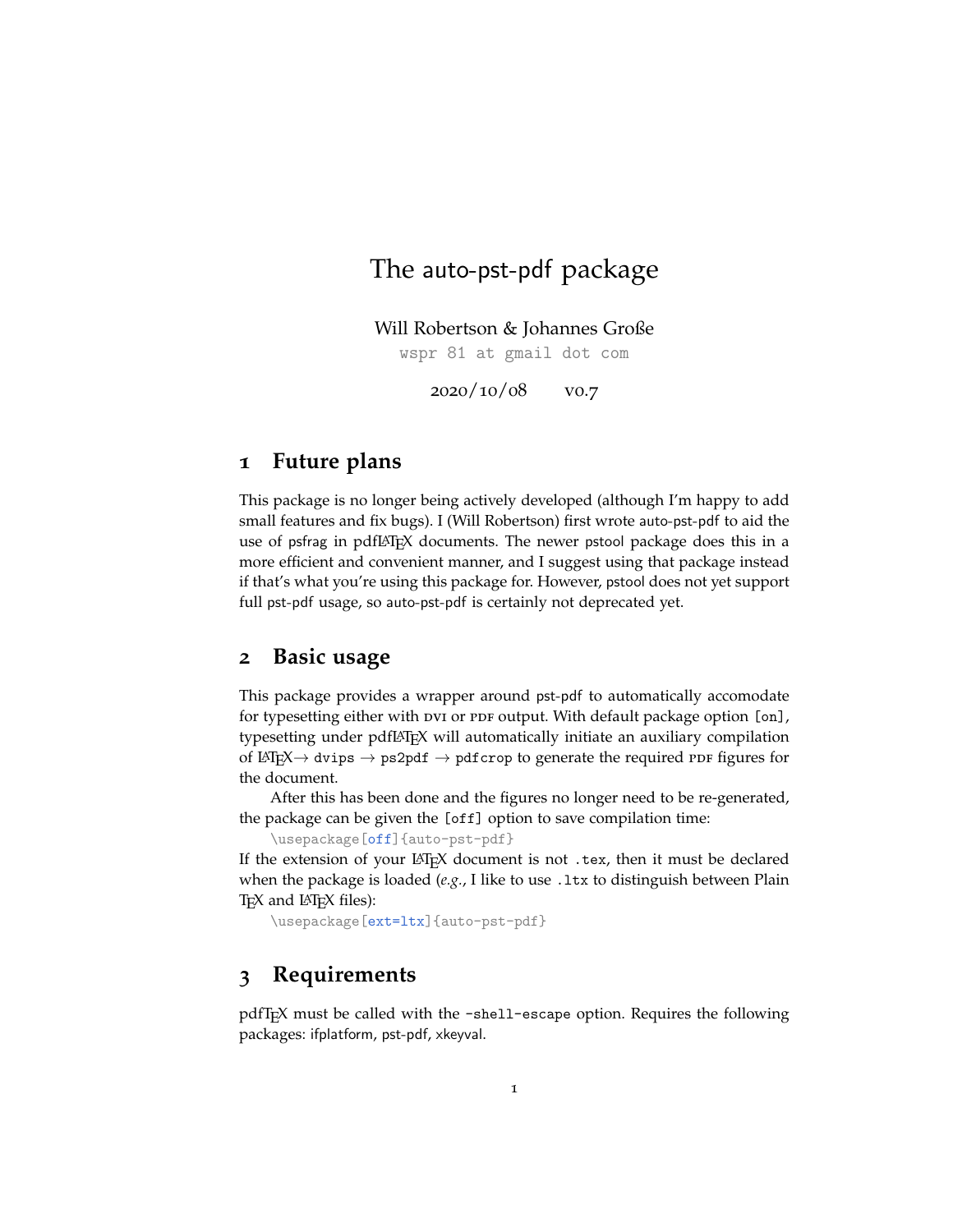# The auto-pst-pdf package

Will Robertson & Johannes Große

wspr 81 at gmail dot com

2020/10/08 v0.7

### **1 Future plans**

This package is no longer being actively developed (although I'm happy to add small features and fix bugs). I (Will Robertson) first wrote auto-pst-pdf to aid the use of psfrag in pdfLAT<sub>EX</sub> documents. The newer pstool package does this in a more efficient and convenient manner, and I suggest using that package instead if that's what you're using this package for. However, pstool does not yet support full pst-pdf usage, so auto-pst-pdf is certainly not deprecated yet.

### **2 Basic usage**

This package provides a wrapper around pst-pdf to automatically accomodate for typesetting either with DVI or PDF output. With default package option [on], typesetting under pdfLAT<sub>EX</sub> will automatically initiate an auxiliary compilation of LAT<sub>E</sub>X $\rightarrow$  dvips  $\rightarrow$  ps2pdf  $\rightarrow$  pdfcrop to generate the required PDF figures for the document.

After this has been done and the figures no longer need to be re-generated, the package can be given the [off] option to save compilation time:

\usepackage[off]{auto-pst-pdf}

If the extension of your LATEX document is not .tex, then it must be declared when the package is loaded (e.g., I like to use .1tx to distinguish between Plain T<sub>E</sub>X and LAT<sub>E</sub>X files):

\usepackage[ext=ltx]{auto-pst-pdf}

## **3 Requirements**

pdfTEX must be called with the -shell-escape option. Requires the following packages: ifplatform, pst-pdf, xkeyval.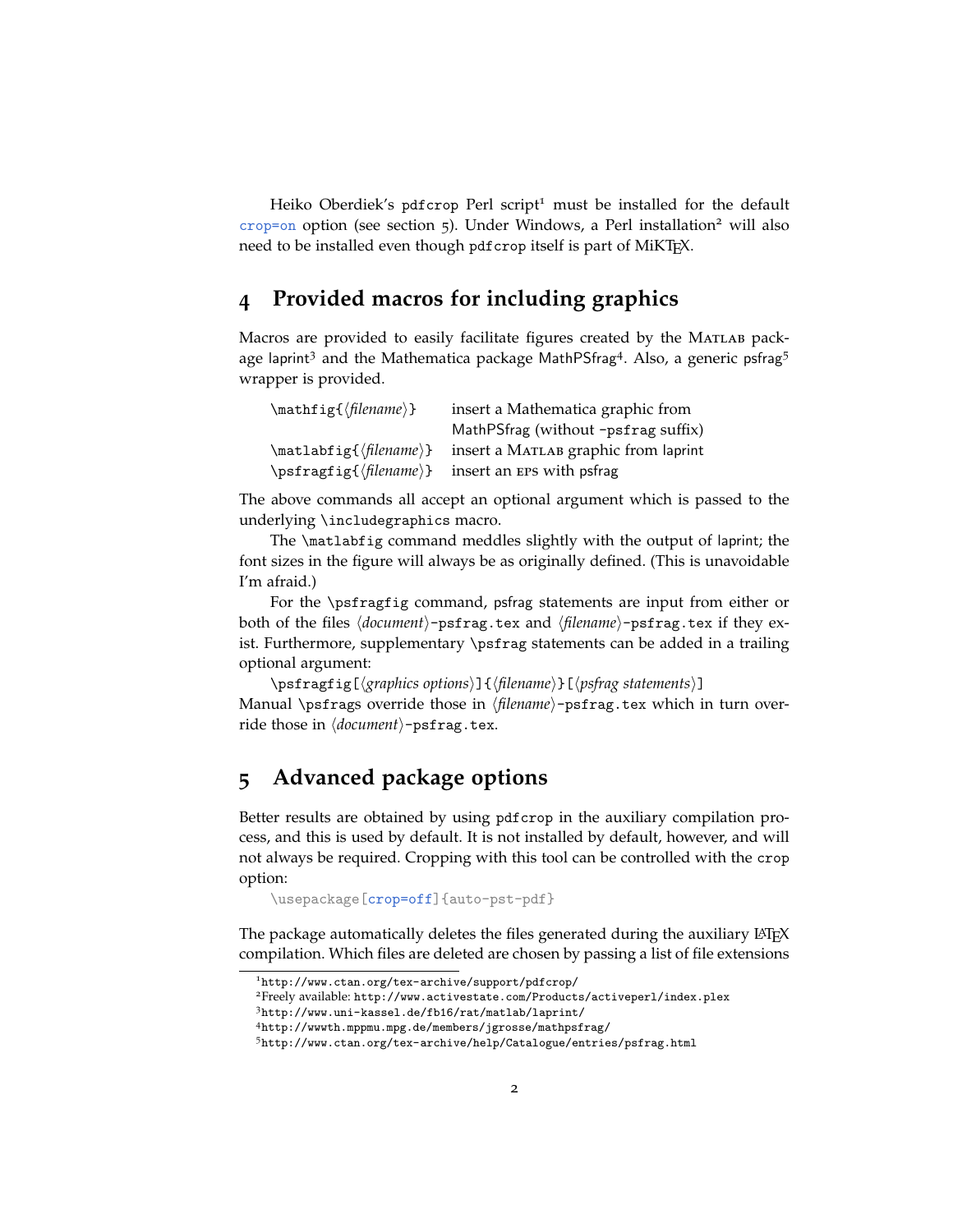Heiko Oberdiek's pdfcrop Perl script<sup>[1](#page-1-0)</sup> must be installed for the default  $crop=on$  option (see section [5](#page-1-1)). Under Windows, a Perl installation<sup>[2](#page-1-2)</sup> will also need to be installed even though pdfcrop itself is part of MiKTEX.

### **4 Provided macros for including graphics**

Macros are provided to easily facilitate figures created by the MATLAB pack-age laprint<sup>[3](#page-1-3)</sup> and the Mathematica package MathPSfrag<sup>[4](#page-1-4)</sup>. Also, a generic psfrag<sup>[5](#page-1-5)</sup> wrapper is provided.

| $\mathcal{f}(filename)$ | insert a Mathematica graphic from                           |
|-------------------------|-------------------------------------------------------------|
|                         | MathPSfrag (without -psfrag suffix)                         |
|                         | \matlabfig{(filename)} insert a MATLAB graphic from laprint |
|                         | \psfragfig{(filename)} insert an EPS with psfrag            |

The above commands all accept an optional argument which is passed to the underlying \includegraphics macro.

The \matlabfig command meddles slightly with the output of laprint; the font sizes in the figure will always be as originally defined. (This is unavoidable I'm afraid.)

For the \psfragfig command, psfrag statements are input from either or both of the files  $\langle document \rangle$ -psfrag.tex and  $\langle filename \rangle$ -psfrag.tex if they exist. Furthermore, supplementary \psfrag statements can be added in a trailing optional argument:

\psfragfig[\graphics options\]{\filename\}[\psfrag statements\]

Manual \psfrags override those in *\filename*}-psfrag.tex which in turn override those in  $\langle document \rangle$ -psfrag.tex.

# <span id="page-1-1"></span>**5 Advanced package options**

Better results are obtained by using pdfcrop in the auxiliary compilation process, and this is used by default. It is not installed by default, however, and will not always be required. Cropping with this tool can be controlled with the crop option:

\usepackage[crop=off]{auto-pst-pdf}

The package automatically deletes the files generated during the auxiliary  $L<sup>K</sup>F<sub>k</sub>$ compilation. Which files are deleted are chosen by passing a list of file extensions

<span id="page-1-2"></span><span id="page-1-0"></span><sup>1</sup><http://www.ctan.org/tex-archive/support/pdfcrop/>

<sup>2</sup>Freely available: <http://www.activestate.com/Products/activeperl/index.plex>

<span id="page-1-3"></span><sup>3</sup><http://www.uni-kassel.de/fb16/rat/matlab/laprint/>

<span id="page-1-4"></span><sup>4</sup><http://wwwth.mppmu.mpg.de/members/jgrosse/mathpsfrag/>

<span id="page-1-5"></span><sup>5</sup><http://www.ctan.org/tex-archive/help/Catalogue/entries/psfrag.html>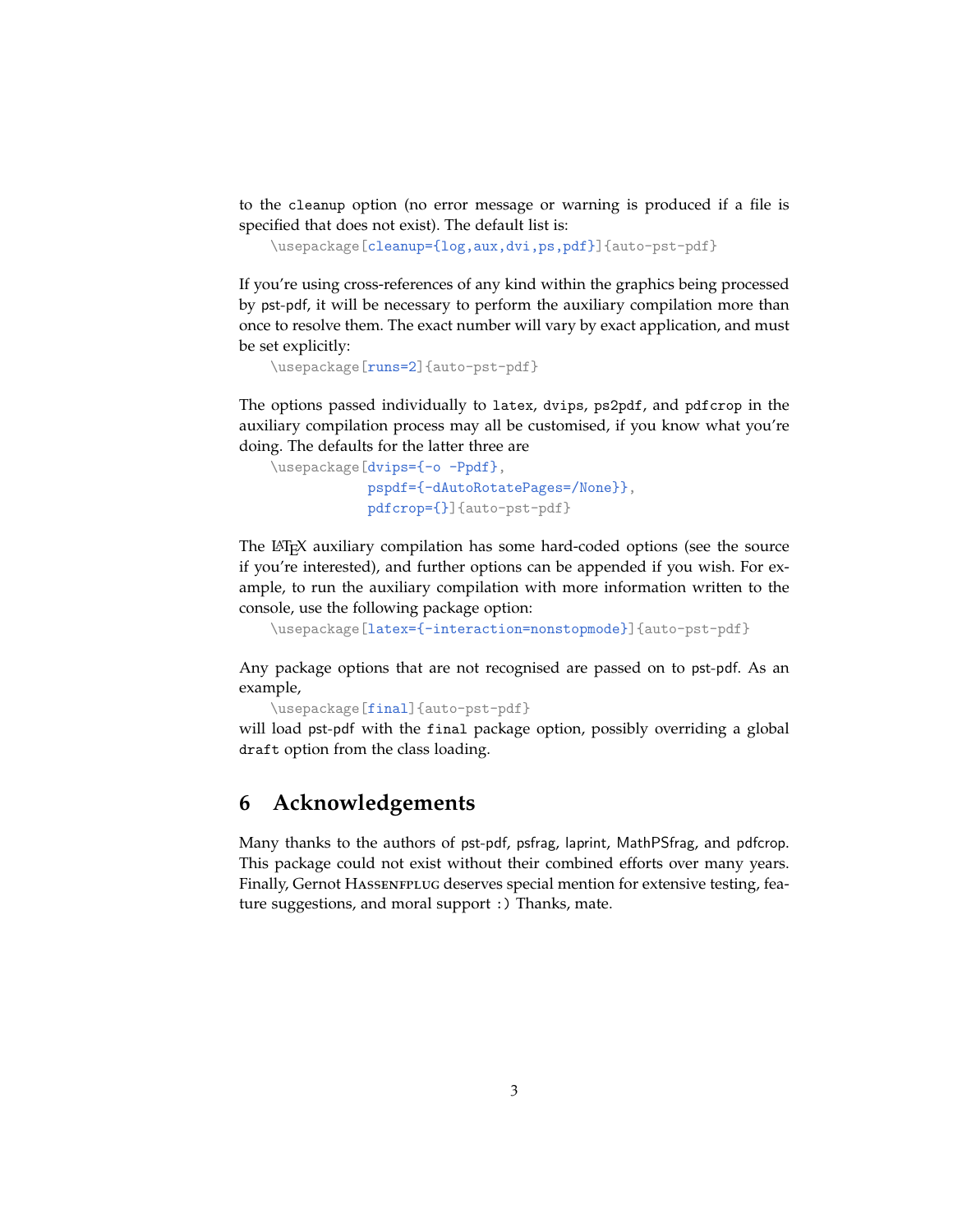to the cleanup option (no error message or warning is produced if a file is specified that does not exist). The default list is:

```
\usepackage[cleanup={log,aux,dvi,ps,pdf}]{auto-pst-pdf}
```
If you're using cross-references of any kind within the graphics being processed by pst-pdf, it will be necessary to perform the auxiliary compilation more than once to resolve them. The exact number will vary by exact application, and must be set explicitly:

```
\usepackage[runs=2]{auto-pst-pdf}
```
The options passed individually to latex, dvips, ps2pdf, and pdfcrop in the auxiliary compilation process may all be customised, if you know what you're doing. The defaults for the latter three are

```
\usepackage[dvips={-o -Ppdf},
             \usepackage[pspdf={-dAutoRotatePages=/None}},
             pdfcrop={}]{auto-pst-pdf}
```
The LATEX auxiliary compilation has some hard-coded options (see the source if you're interested), and further options can be appended if you wish. For example, to run the auxiliary compilation with more information written to the console, use the following package option:

```
\usepackage[latex={-interaction=nonstopmode}]{auto-pst-pdf}
```
Any package options that are not recognised are passed on to pst-pdf. As an example,

```
\usepackage[final]{auto-pst-pdf}
```
will load pst-pdf with the final package option, possibly overriding a global draft option from the class loading.

## **6 Acknowledgements**

Many thanks to the authors of pst-pdf, psfrag, laprint, MathPSfrag, and pdfcrop. This package could not exist without their combined efforts over many years. Finally, Gernot HASSENFPLUG deserves special mention for extensive testing, feature suggestions, and moral support :) Thanks, mate.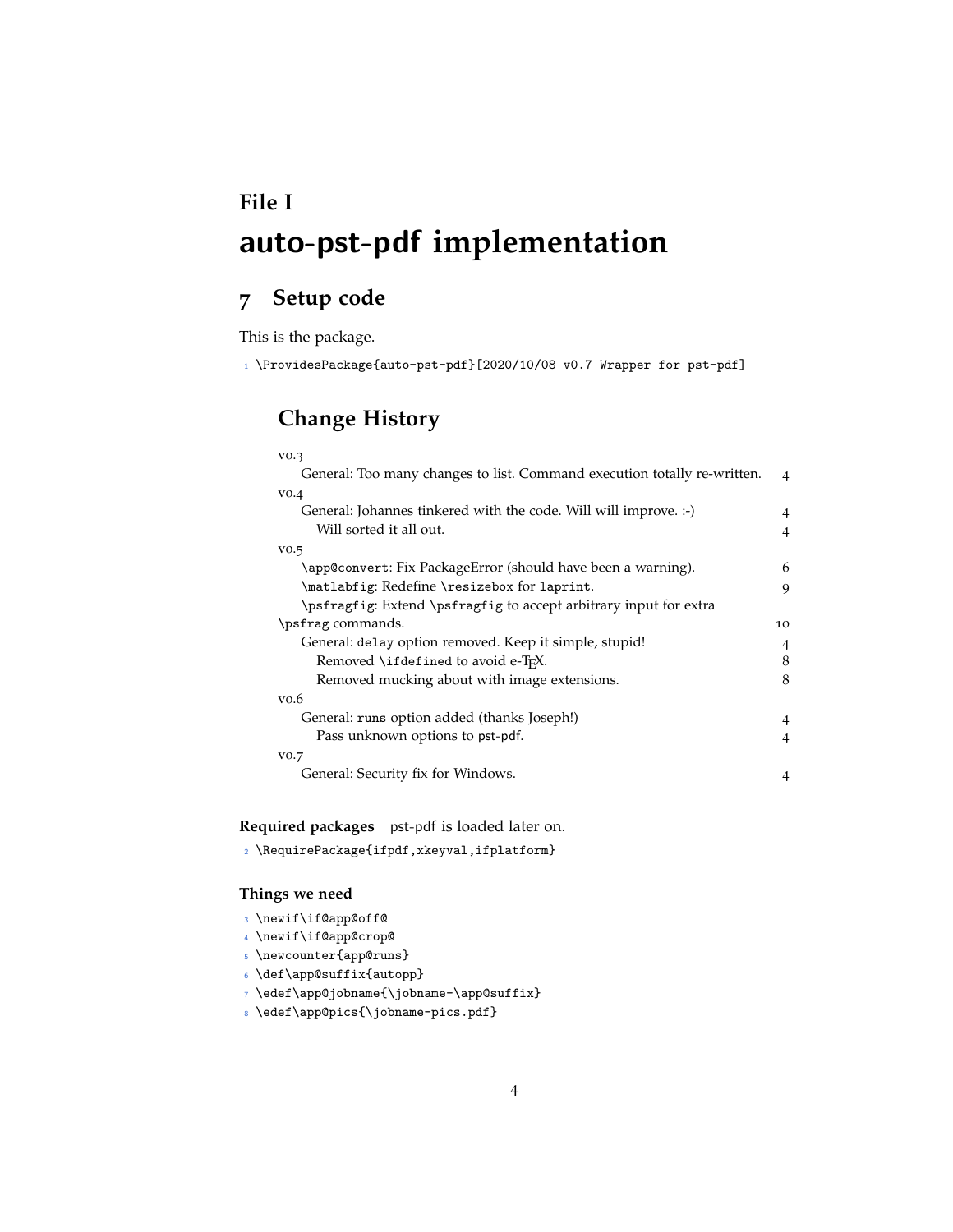# **File I** auto-pst-pdf **implementation**

# **7 Setup code**

This is the package.

<sup>1</sup> \ProvidesPackage{auto-pst-pdf}[2020/10/08 v0.7 Wrapper for pst-pdf]

# **Change History**

| VO.3                                                                     |   |
|--------------------------------------------------------------------------|---|
| General: Too many changes to list. Command execution totally re-written. | 4 |
| VO.4                                                                     |   |
| General: Johannes tinkered with the code. Will will improve. :-)         |   |
| Will sorted it all out.                                                  |   |
| VO.5                                                                     |   |
| \app@convert: Fix PackageError (should have been a warning).             | 6 |
| \matlabfig: Redefine \resizebox for laprint.                             |   |
| \psfragfig: Extend \psfragfig to accept arbitrary input for extra        |   |
| \psfrag commands.                                                        |   |
| General: delay option removed. Keep it simple, stupid!                   |   |
| Removed \ifdefined to avoid e-T <sub>F</sub> X.                          |   |
| Removed mucking about with image extensions.                             |   |
| $v_{0.6}$                                                                |   |
| General: runs option added (thanks Joseph!)                              | 4 |
| Pass unknown options to pst-pdf.                                         |   |
| vo.7                                                                     |   |
| General: Security fix for Windows.                                       |   |

**Required packages** pst-pdf is loaded later on.

```
2 \RequirePackage{ifpdf,xkeyval,ifplatform}
```
#### **Things we need**

- <sup>3</sup> \newif\if@app@off@
- <sup>4</sup> \newif\if@app@crop@
- <sup>5</sup> \newcounter{app@runs}
- $\delta$  \def\app@suffix{autopp}
- <sup>7</sup> \edef\app@jobname{\jobname-\app@suffix}
- <sup>8</sup> \edef\app@pics{\jobname-pics.pdf}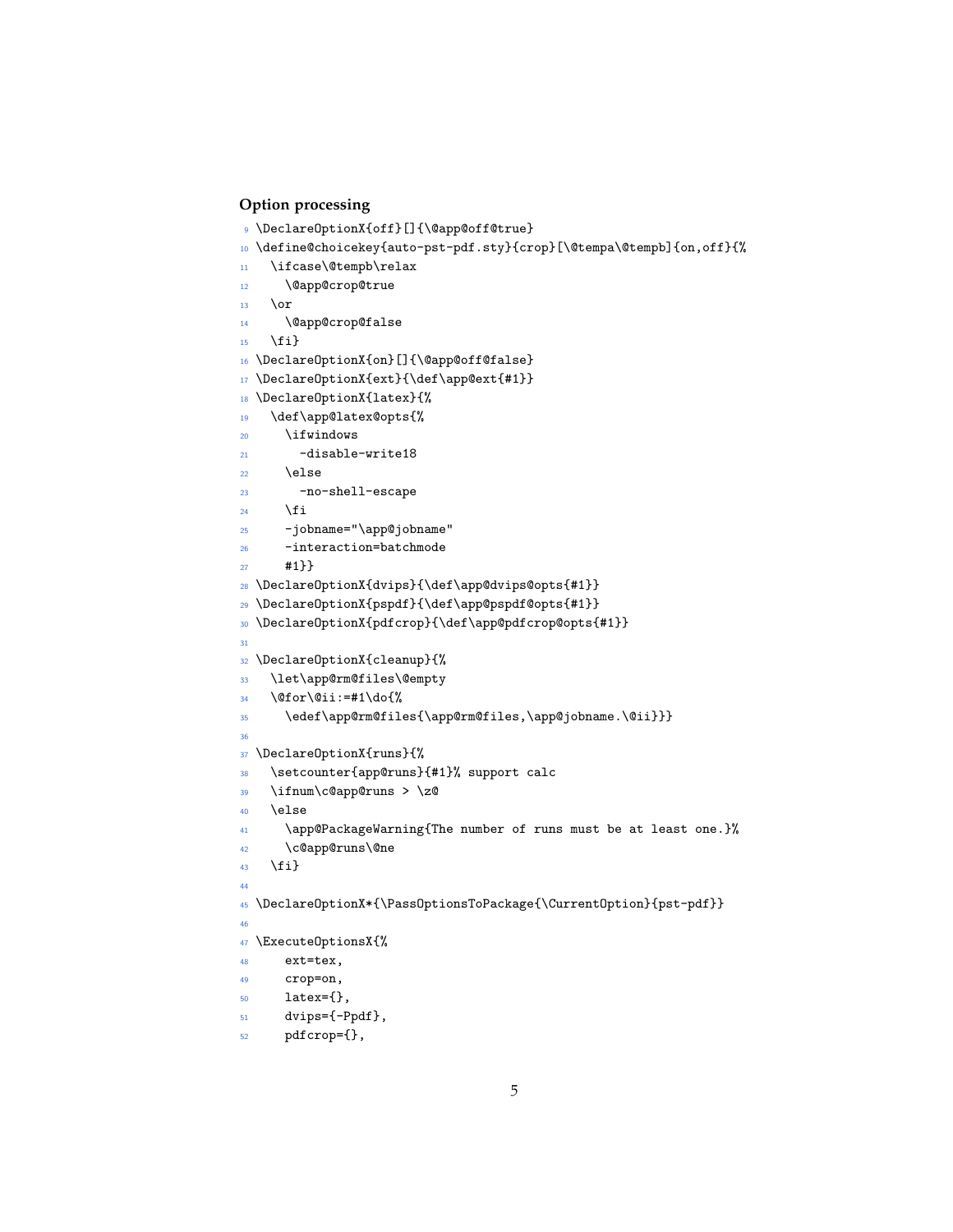### **Option processing**

```
9 \DeclareOptionX{off}[]{\@app@off@true}
_{10} \define@choicekey{auto-pst-pdf.sty}{crop}[\@tempa\@tempb]{on,off}{%
11 \ifcase\@tempb\relax
12 \@app@crop@true
13 \overline{or}14 \@app@crop@false
15 \fi}
16 \DeclareOptionX{on}[]{\@app@off@false}
17 \DeclareOptionX{ext}{\def\app@ext{#1}}
18 \DeclareOptionX{latex}{%
19 \def\app@latex@opts{%
20 \ifwindows
21 -disable-write18
22 \qquad \text{lelse}23 -no-shell-escape
24 \fi
25 -jobname="\app@jobname"
26 -interaction=batchmode
27 #1}}
28 \DeclareOptionX{dvips}{\def\app@dvips@opts{#1}}
29 \DeclareOptionX{pspdf}{\def\app@pspdf@opts{#1}}
30 \DeclareOptionX{pdfcrop}{\def\app@pdfcrop@opts{#1}}
31
32 \DeclareOptionX{cleanup}{%
33 \let\app@rm@files\@empty
34 \@for\@ii:=#1\do{%
35 \edef\app@rm@files{\app@rm@files,\app@jobname.\@ii}}}
36
37 \DeclareOptionX{runs}{%
38 \setcounter{app@runs}{#1}% support calc
39 \ifnum\c@app@runs > \z@
40 \else
41 \app@PackageWarning{The number of runs must be at least one.}%
42 \c@app@runs\@ne
43 \fi}
\overline{44}45 \DeclareOptionX*{\PassOptionsToPackage{\CurrentOption}{pst-pdf}}
46
47 \ExecuteOptionsX{%
48 ext=tex,
49 crop=on,
50 latex={},
51 dvips={-Ppdf},
52 pdfcrop={},
```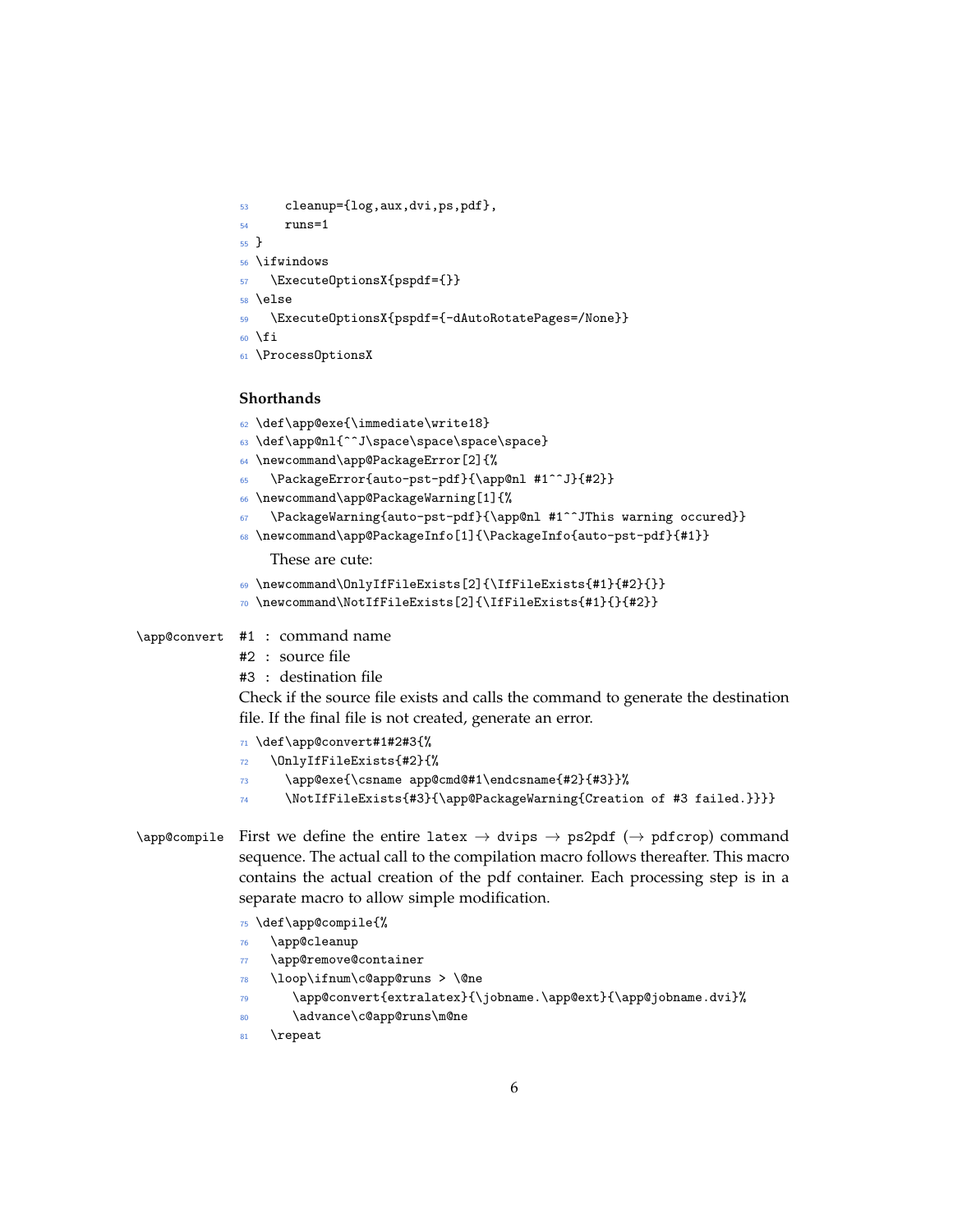```
53 cleanup={log,aux,dvi,ps,pdf},
54 runs=1
55 }
56 \ifwindows
57 \ExecuteOptionsX{pspdf={}}
58 \else
59 \ExecuteOptionsX{pspdf={-dAutoRotatePages=/None}}
60 \fi
61 \ProcessOptionsX
```
#### **Shorthands**

```
62 \def\app@exe{\immediate\write18}
              63 \def\app@nl{^^J\space\space\space\space}
              64 \newcommand\app@PackageError[2]{%
              65 \PackageError{auto-pst-pdf}{\app@nl #1^^J}{#2}}
              66 \newcommand\app@PackageWarning[1]{%
                   \PackageWarning{auto-pst-pdf}{\app@nl #1^^JThis warning occured}}
              68 \newcommand\app@PackageInfo[1]{\PackageInfo{auto-pst-pdf}{#1}}
                   These are cute:
              69 \newcommand\OnlyIfFileExists[2]{\IfFileExists{#1}{#2}{}}
               70 \newcommand\NotIfFileExists[2]{\IfFileExists{#1}{}{#2}}
\app@convert #1 : command name
              #2 : source file
              #3 : destination file
              Check if the source file exists and calls the command to generate the destination
              file. If the final file is not created, generate an error.
               71 \def\app@convert#1#2#3{%
               72 \OnlyIfFileExists{#2}{%
              73 \app@exe{\csname app@cmd@#1\endcsname{#2}{#3}}%
              74 \NotIfFileExists{#3}{\app@PackageWarning{Creation of #3 failed.}}}}
\alpha) \app@compile First we define the entire latex \rightarrow dvips \rightarrow ps2pdf (\rightarrow pdfcrop) command
              sequence. The actual call to the compilation macro follows thereafter. This macro
              contains the actual creation of the pdf container. Each processing step is in a
```
- \def\app@compile{%
- \app@cleanup
- \app@remove@container
- \loop\ifnum\c@app@runs > \@ne

separate macro to allow simple modification.

- \app@convert{extralatex}{\jobname.\app@ext}{\app@jobname.dvi}%
- 80 \advance\c@app@runs\m@ne
- 81 \repeat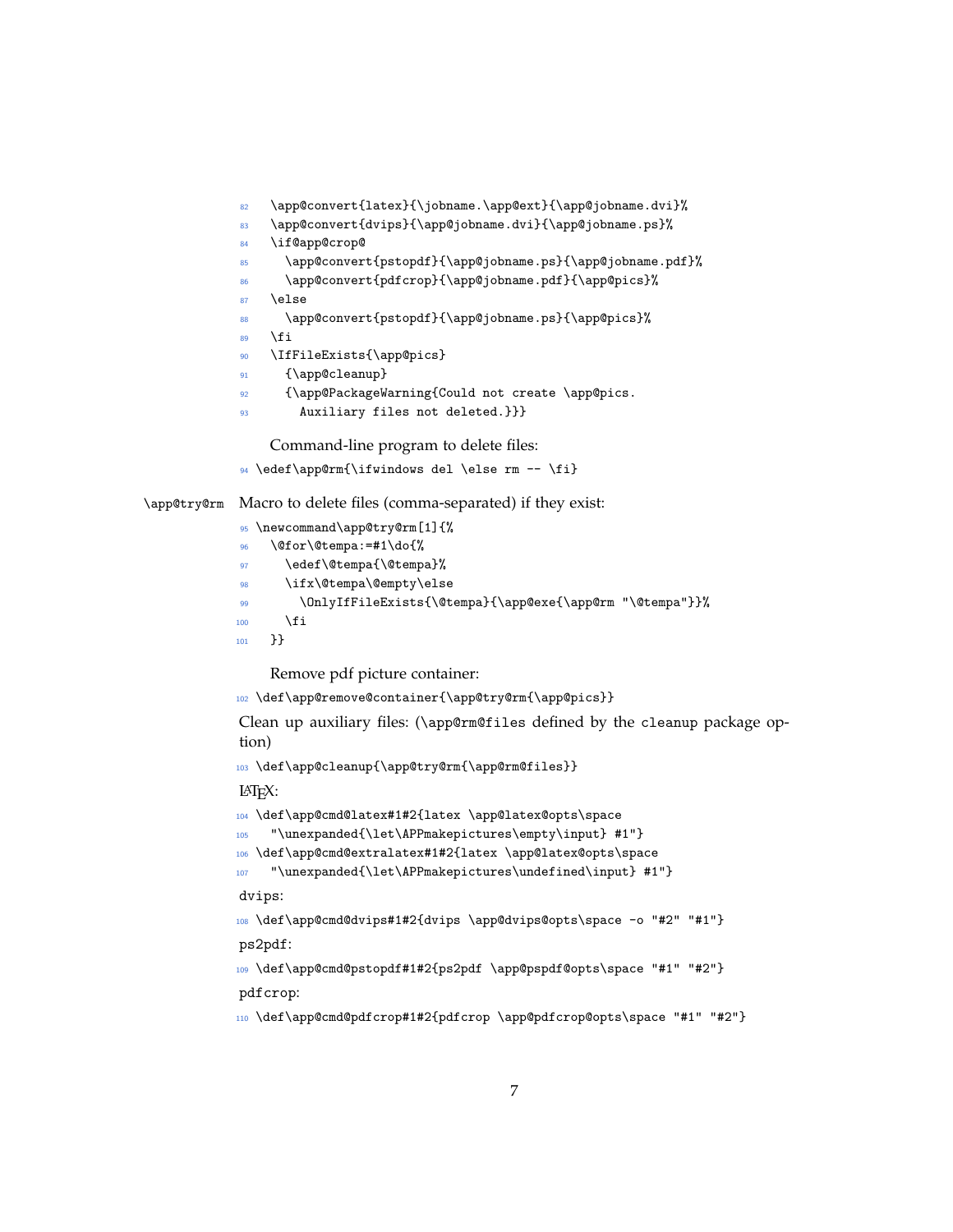```
82 \app@convert{latex}{\jobname.\app@ext}{\app@jobname.dvi}%
83 \app@convert{dvips}{\app@jobname.dvi}{\app@jobname.ps}%
84 \if@app@crop@
85 \app@convert{pstopdf}{\app@jobname.ps}{\app@jobname.pdf}%
86 \app@convert{pdfcrop}{\app@jobname.pdf}{\app@pics}%
87 \else
88 \app@convert{pstopdf}{\app@jobname.ps}{\app@pics}%
89 \fi
90 \IfFileExists{\app@pics}
91 {\app@cleanup}
92 {\app@PackageWarning{Could not create \app@pics.
93 Auxiliary files not deleted.}}}
```
Command-line program to delete files:

```
94 \edef\app@rm{\ifwindows del \else rm -- \fi}
```
\app@try@rm Macro to delete files (comma-separated) if they exist:

```
95 \newcommand\app@try@rm[1]{%
96 \@for\@tempa:=#1\do{%
97 \edef\@tempa{\@tempa}%
98 \ifx\@tempa\@empty\else
99 \OnlyIfFileExists{\@tempa}{\app@exe{\app@rm "\@tempa"}}%
_{100} \fi
101 }}
```
Remove pdf picture container:

```
102 \def\app@remove@container{\app@try@rm{\app@pics}}
```
Clean up auxiliary files: (\app@rm@files defined by the cleanup package option)

<sup>103</sup> \def\app@cleanup{\app@try@rm{\app@rm@files}}

LATEX:

```
104 \def\app@cmd@latex#1#2{latex \app@latex@opts\space
105 "\unexpanded{\let\APPmakepictures\empty\input} #1"}
106 \def\app@cmd@extralatex#1#2{latex \app@latex@opts\space
107 "\unexpanded{\let\APPmakepictures\undefined\input} #1"}
dvips:
108 \def\app@cmd@dvips#1#2{dvips \app@dvips@opts\space -o "#2" "#1"}
ps2pdf:
109 \def\app@cmd@pstopdf#1#2{ps2pdf \app@pspdf@opts\space "#1" "#2"}
pdfcrop:
110 \def\app@cmd@pdfcrop#1#2{pdfcrop \app@pdfcrop@opts\space "#1" "#2"}
```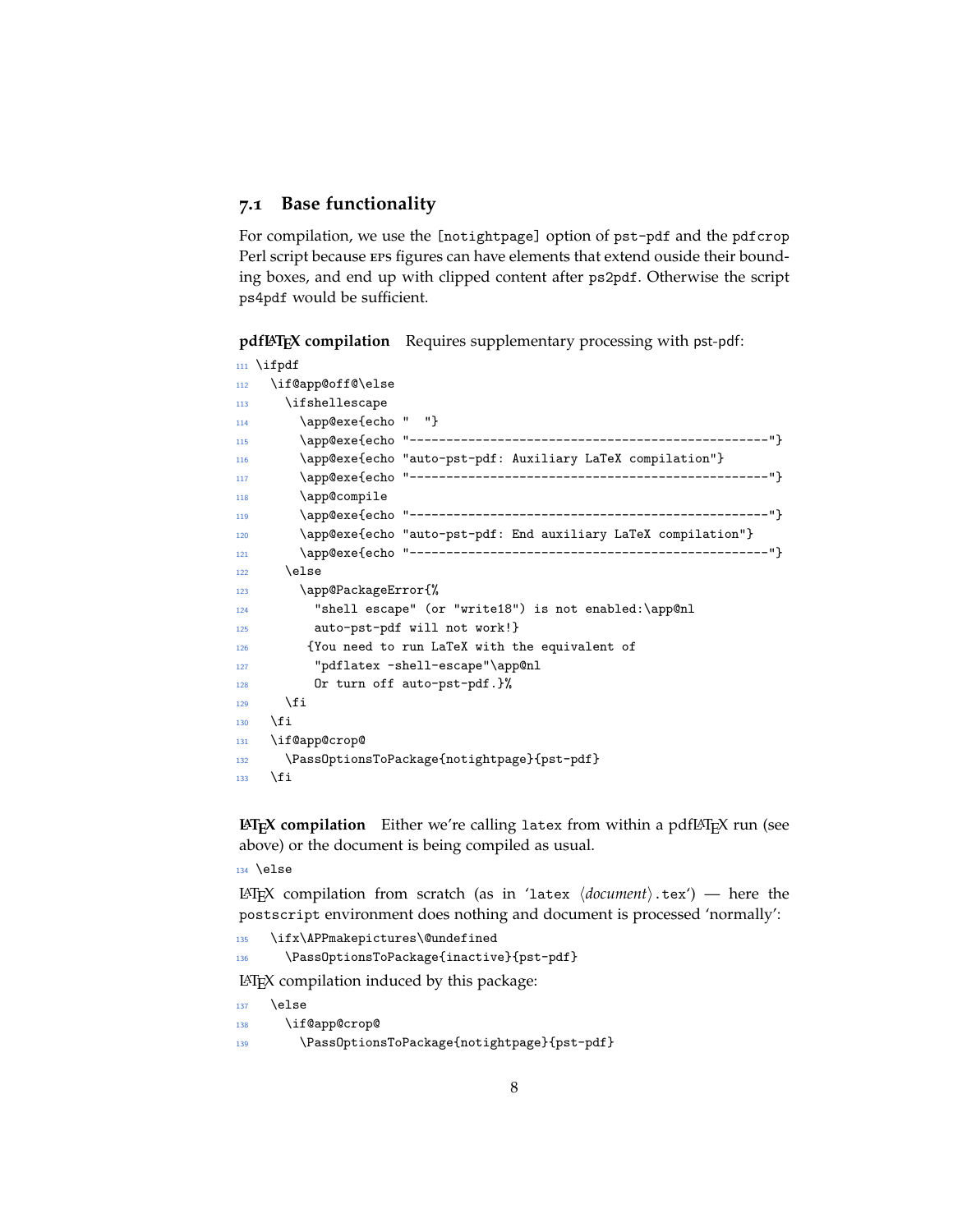#### **7.1 Base functionality**

For compilation, we use the [notightpage] option of pst-pdf and the pdfcrop Perl script because eps figures can have elements that extend ouside their bounding boxes, and end up with clipped content after ps2pdf. Otherwise the script ps4pdf would be sufficient.

pdfL**ATEX** compilation Requires supplementary processing with pst-pdf:

```
111 \ifpdf
112 \if@app@off@\else
113 \ifshellescape
114 \app@exe{echo " "}
115 \app@exe{echo "-------------------------------------------------"}
116 \app@exe{echo "auto-pst-pdf: Auxiliary LaTeX compilation"}
117 \app@exe{echo "-------------------------------------------------"}
118 \app@compile
119 \app@exe{echo "-------------------------------------------------"}
120 \app@exe{echo "auto-pst-pdf: End auxiliary LaTeX compilation"}
121 \app@exe{echo "-------------------------------------------------"}
122 \else
123 \app@PackageError{%
124 "shell escape" (or "write18") is not enabled:\app@nl
125 auto-pst-pdf will not work!}
126 {You need to run LaTeX with the equivalent of
127 "pdflatex -shell-escape"\app@nl
128 Or turn off auto-pst-pdf.}%
129 \qquad \qquad \text{if }130 \quad \text{if}131 \if@app@crop@
132 \PassOptionsToPackage{notightpage}{pst-pdf}
133 \qquad \text{ifi}
```
**LATEX compilation** Either we're calling latex from within a pdfLATEX run (see above) or the document is being compiled as usual.

<sup>134</sup> \else

LAT<sub>E</sub>X compilation from scratch (as in 'latex  $\langle document \rangle.$ tex') — here the postscript environment does nothing and document is processed 'normally':

```
135 \ifx\APPmakepictures\@undefined
```
<sup>136</sup> \PassOptionsToPackage{inactive}{pst-pdf}

LATEX compilation induced by this package:

```
137 \else
138 \if@app@crop@
139 \PassOptionsToPackage{notightpage}{pst-pdf}
```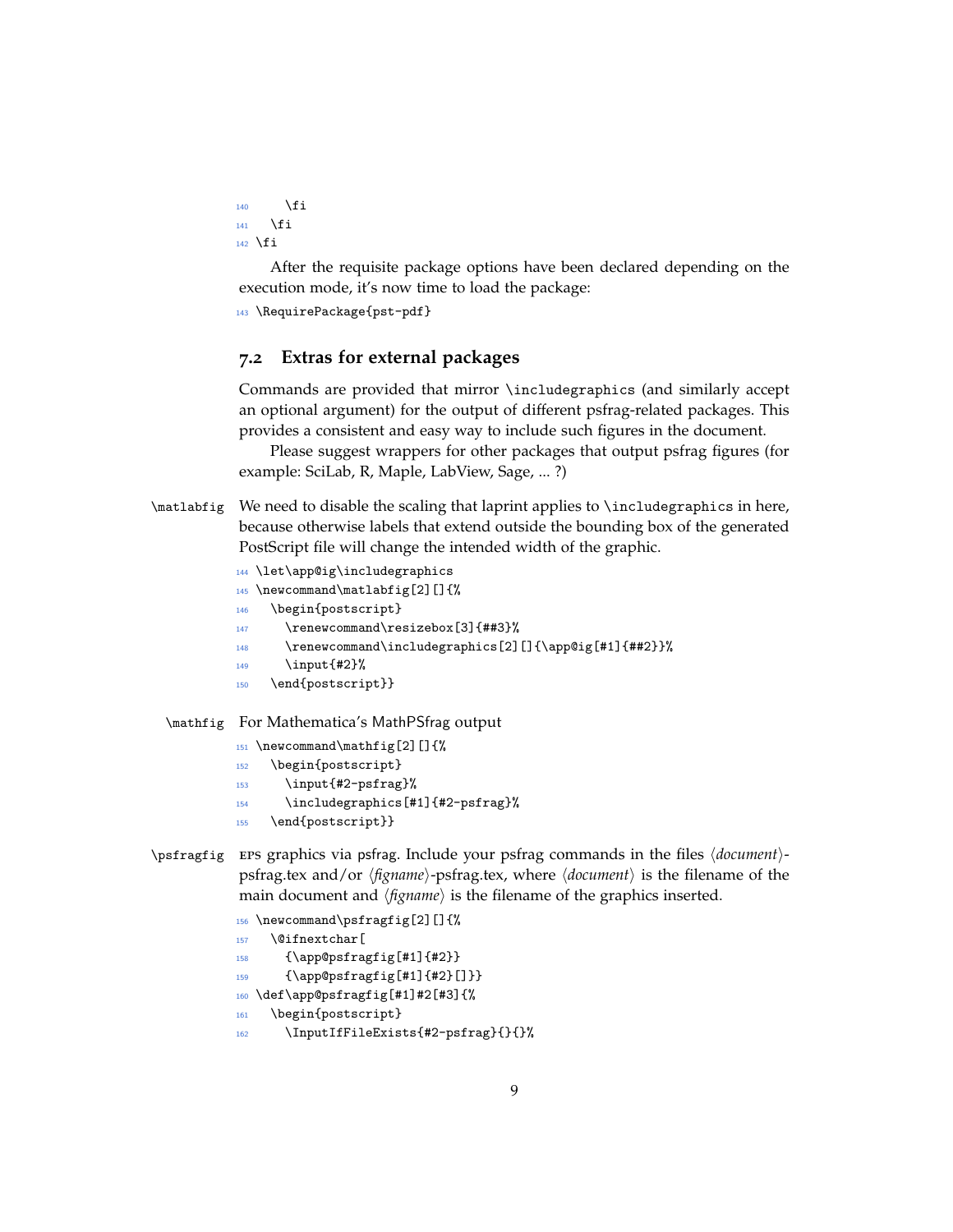```
140 \qquad \qquad \text{if } i141 \fi
142 \fi
```
After the requisite package options have been declared depending on the execution mode, it's now time to load the package:

143 \RequirePackage{pst-pdf}

### **7.2 Extras for external packages**

Commands are provided that mirror \includegraphics (and similarly accept an optional argument) for the output of different psfrag-related packages. This provides a consistent and easy way to include such figures in the document.

Please suggest wrappers for other packages that output psfrag figures (for example: SciLab, R, Maple, LabView, Sage, ... ?)

```
\matlabfig We need to disable the scaling that laprint applies to \includegraphics in here,
            because otherwise labels that extend outside the bounding box of the generated
            PostScript file will change the intended width of the graphic.
```

```
144 \let\app@ig\includegraphics
145 \newcommand\matlabfig[2][]{%
146 \begin{postscript}
147 \renewcommand\resizebox[3]{##3}%
148 \renewcommand\includegraphics[2][]{\app@ig[#1]{##2}}%
149 \input {#2}%
150 \end{postscript}}
```
\mathfig For Mathematica's MathPSfrag output

```
151 \newcommand\mathfig[2][]{%
```

```
152 \begin{postscript}
```

```
153 \input{#2-psfrag}%
```

```
154 \includegraphics[#1]{#2-psfrag}%
```

```
155 \end{postscript}}
```

```
\psfragfig EPS graphics via psfrag. Include your psfrag commands in the files \langle document \rangle-
               psfrag.tex and/or \langlefigname\rangle-psfrag.tex, where \langledocument\rangle is the filename of the
               main document and \langle f_{\text{IR}}(n) \rangle is the filename of the graphics inserted.
```

```
156 \newcommand\psfragfig[2][]{%
```

```
157 \@ifnextchar[
```

```
158 {\app@psfragfig[#1]{#2}}
```

```
{\\approx}f\{1\}{#2}[]}}
```

```
160 \def\app@psfragfig[#1]#2[#3]{%
```

```
161 \begin{postscript}
```

```
162 \InputIfFileExists{#2-psfrag}{}{}%
```